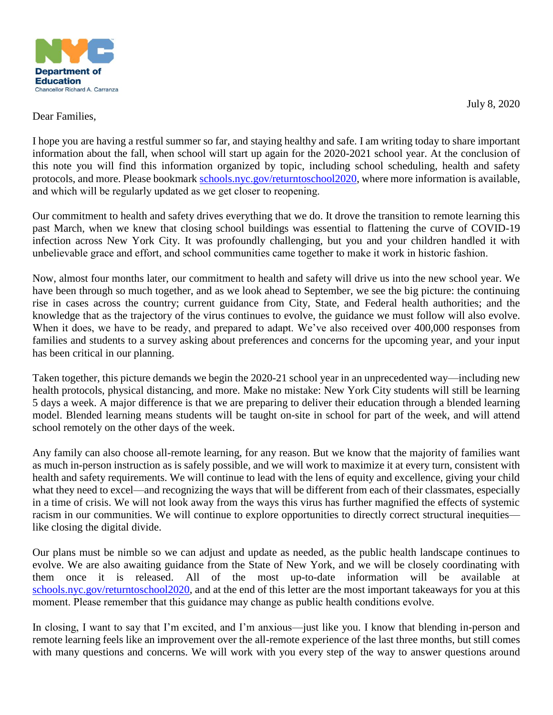

July 8, 2020

### Dear Families,

I hope you are having a restful summer so far, and staying healthy and safe. I am writing today to share important information about the fall, when school will start up again for the 2020-2021 school year. At the conclusion of this note you will find this information organized by topic, including school scheduling, health and safety protocols, and more. Please bookmark [schools.nyc.gov/returntoschool2020,](http://www.schools.nyc.gov/returntoschool2020) where more information is available, and which will be regularly updated as we get closer to reopening. 

Our commitment to health and safety drives everything that we do. It drove the transition to remote learning this past March, when we knew that closing school buildings was essential to flattening the curve of COVID-19 infection across New York City. It was profoundly challenging, but you and your children handled it with unbelievable grace and effort, and school communities came together to make it work in historic fashion. 

Now, almost four months later, our commitment to health and safety will drive us into the new school year. We have been through so much together, and as we look ahead to September, we see the big picture: the continuing rise in cases across the country; current guidance from City, State, and Federal health authorities; and the knowledge that as the trajectory of the virus continues to evolve, the guidance we must follow will also evolve. When it does, we have to be ready, and prepared to adapt. We've also received over 400,000 responses from families and students to a survey asking about preferences and concerns for the upcoming year, and your input has been critical in our planning.

Taken together, this picture demands we begin the 2020-21 school year in an unprecedented way—including new health protocols, physical distancing, and more. Make no mistake: New York City students will still be learning 5 days a week. A major difference is that we are preparing to deliver their education through a blended learning model. Blended learning means students will be taught on-site in school for part of the week, and will attend school remotely on the other days of the week.

Any family can also choose all-remote learning, for any reason. But we know that the majority of families want as much in-person instruction as is safely possible, and we will work to maximize it at every turn, consistent with health and safety requirements. We will continue to lead with the lens of equity and excellence, giving your child what they need to excel—and recognizing the ways that will be different from each of their classmates, especially in a time of crisis. We will not look away from the ways this virus has further magnified the effects of systemic racism in our communities. We will continue to explore opportunities to directly correct structural inequities like closing the digital divide.

Our plans must be nimble so we can adjust and update as needed, as the public health landscape continues to evolve. We are also awaiting guidance from the State of New York, and we will be closely coordinating with them once it is released. All of the most up-to-date information will be available at [schools.nyc.gov/returntoschool2020,](http://www.schools.nyc.gov/returntoschool2020) and at the end of this letter are the most important takeaways for you at this moment. Please remember that this guidance may change as public health conditions evolve. 

In closing, I want to say that I'm excited, and I'm anxious—just like you. I know that blending in-person and remote learning feels like an improvement over the all-remote experience of the last three months, but still comes with many questions and concerns. We will work with you every step of the way to answer questions around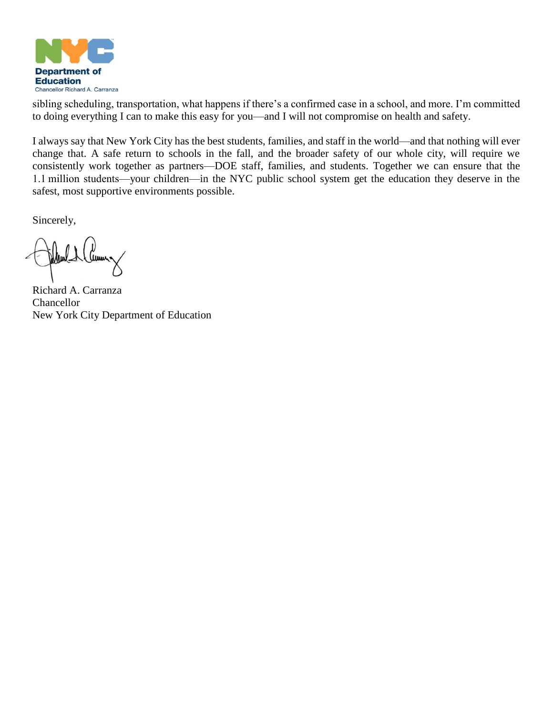

sibling scheduling, transportation, what happens if there's a confirmed case in a school, and more. I'm committed to doing everything I can to make this easy for you—and I will not compromise on health and safety.

I always say that New York City has the best students, families, and staff in the world—and that nothing will ever change that. A safe return to schools in the fall, and the broader safety of our whole city, will require we consistently work together as partners—DOE staff, families, and students. Together we can ensure that the 1.1 million students—your children—in the NYC public school system get the education they deserve in the safest, most supportive environments possible.

Sincerely,

Juun.

Richard A. Carranza **Chancellor** New York City Department of Education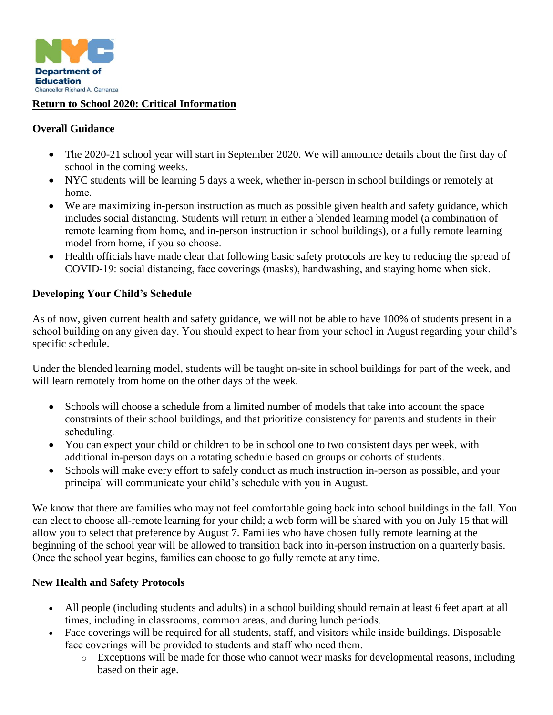

### **Return to School 2020: Critical Information**

### **Overall Guidance**

- The 2020-21 school year will start in September 2020. We will announce details about the first day of school in the coming weeks.
- NYC students will be learning 5 days a week, whether in-person in school buildings or remotely at home.
- We are maximizing in-person instruction as much as possible given health and safety guidance, which includes social distancing. Students will return in either a blended learning model (a combination of remote learning from home, and in-person instruction in school buildings), or a fully remote learning model from home, if you so choose.
- Health officials have made clear that following basic safety protocols are key to reducing the spread of COVID-19: social distancing, face coverings (masks), handwashing, and staying home when sick.

### **Developing Your Child's Schedule**

As of now, given current health and safety guidance, we will not be able to have 100% of students present in a school building on any given day. You should expect to hear from your school in August regarding your child's specific schedule.

Under the blended learning model, students will be taught on-site in school buildings for part of the week, and will learn remotely from home on the other days of the week.

- Schools will choose a schedule from a limited number of models that take into account the space constraints of their school buildings, and that prioritize consistency for parents and students in their scheduling.
- You can expect your child or children to be in school one to two consistent days per week, with additional in-person days on a rotating schedule based on groups or cohorts of students.
- Schools will make every effort to safely conduct as much instruction in-person as possible, and your principal will communicate your child's schedule with you in August.

We know that there are families who may not feel comfortable going back into school buildings in the fall. You can elect to choose all-remote learning for your child; a web form will be shared with you on July 15 that will allow you to select that preference by August 7. Families who have chosen fully remote learning at the beginning of the school year will be allowed to transition back into in-person instruction on a quarterly basis. Once the school year begins, families can choose to go fully remote at any time. 

## **New Health and Safety Protocols**

- All people (including students and adults) in a school building should remain at least 6 feet apart at all times, including in classrooms, common areas, and during lunch periods.
- Face coverings will be required for all students, staff, and visitors while inside buildings. Disposable face coverings will be provided to students and staff who need them.
	- o Exceptions will be made for those who cannot wear masks for developmental reasons, including based on their age.